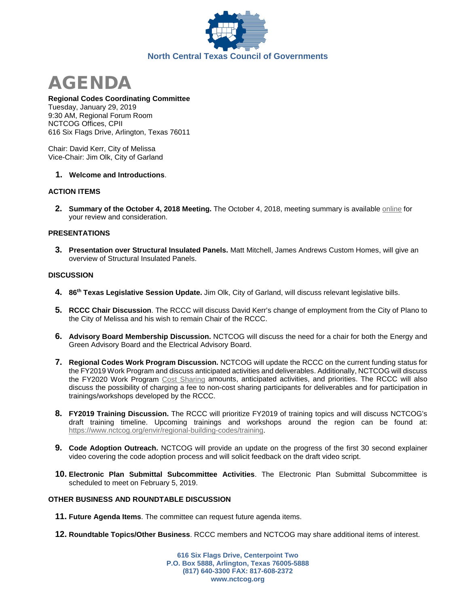



#### **Regional Codes Coordinating Committee**

Tuesday, January 29, 2019 9:30 AM, Regional Forum Room NCTCOG Offices, CPII 616 Six Flags Drive, Arlington, Texas 76011

Chair: David Kerr, City of Melissa Vice-Chair: Jim Olk, City of Garland

# **1. Welcome and Introductions**.

# **ACTION ITEMS**

**2. Summary of the October 4, 2018 Meeting.** The October 4, 2018, meeting summary is available [online](https://www.nctcog.org/nctcg/media/Environment-and-Development/Committee%20Documents/RCCC/FY2019/RCCC_Summary_10_04_2018.pdf?ext=.pdf) for your review and consideration.

### **PRESENTATIONS**

**3. Presentation over Structural Insulated Panels.** Matt Mitchell, James Andrews Custom Homes, will give an overview of Structural Insulated Panels.

### **DISCUSSION**

- **4. 86th Texas Legislative Session Update.** Jim Olk, City of Garland, will discuss relevant legislative bills.
- **5. RCCC Chair Discussion**. The RCCC will discuss David Kerr's change of employment from the City of Plano to the City of Melissa and his wish to remain Chair of the RCCC.
- **6. Advisory Board Membership Discussion.** NCTCOG will discuss the need for a chair for both the Energy and Green Advisory Board and the Electrical Advisory Board.
- **7. Regional Codes Work Program Discussion.** NCTCOG will update the RCCC on the current funding status for the FY2019 Work Program and discuss anticipated activities and deliverables. Additionally, NCTCOG will discuss the FY2020 Work Program [Cost Sharing](https://www.nctcog.org/envir/regional-building-codes/cost-share) amounts, anticipated activities, and priorities. The RCCC will also discuss the possibility of charging a fee to non-cost sharing participants for deliverables and for participation in trainings/workshops developed by the RCCC.
- **8. FY2019 Training Discussion.** The RCCC will prioritize FY2019 of training topics and will discuss NCTCOG's draft training timeline. Upcoming trainings and workshops around the region can be found at: [https://www.nctcog.org/envir/regional-building-codes/training.](https://www.nctcog.org/envir/regional-building-codes/training)
- **9. Code Adoption Outreach.** NCTCOG will provide an update on the progress of the first 30 second explainer video covering the code adoption process and will solicit feedback on the draft video script.
- **10. Electronic Plan Submittal Subcommittee Activities**. The Electronic Plan Submittal Subcommittee is scheduled to meet on February 5, 2019.

# **OTHER BUSINESS AND ROUNDTABLE DISCUSSION**

- **11. Future Agenda Items**. The committee can request future agenda items.
- **12. Roundtable Topics/Other Business**. RCCC members and NCTCOG may share additional items of interest.

**616 Six Flags Drive, Centerpoint Two P.O. Box 5888, Arlington, Texas 76005-5888 (817) 640-3300 FAX: 817-608-2372 www.nctcog.org**